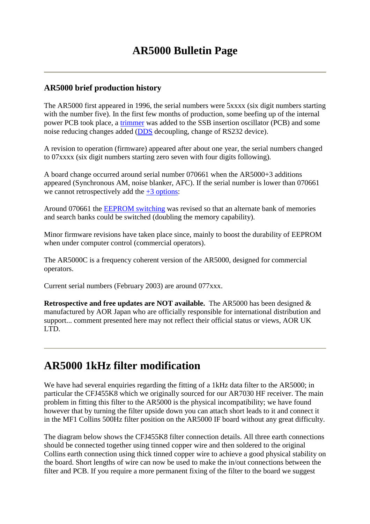# **AR5000 Bulletin Page**

### **AR5000 brief production history**

The AR5000 first appeared in 1996, the serial numbers were 5xxxx (six digit numbers starting with the number five). In the first few months of production, some beefing up of the internal power PCB took place, a trimmer was added to the SSB insertion oscillator (PCB) and some noise reducing changes added (DDS decoupling, change of RS232 device).

A revision to operation (firmware) appeared after about one year, the serial numbers changed to 07xxxx (six digit numbers starting zero seven with four digits following).

A board change occurred around serial number 070661 when the AR5000+3 additions appeared (Synchronous AM, noise blanker, AFC). If the serial number is lower than 070661 we cannot retrospectively add the  $+3$  options:

Around 070661 the EEPROM switching was revised so that an alternate bank of memories and search banks could be switched (doubling the memory capability).

Minor firmware revisions have taken place since, mainly to boost the durability of EEPROM when under computer control (commercial operators).

The AR5000C is a frequency coherent version of the AR5000, designed for commercial operators.

Current serial numbers (February 2003) are around 077xxx.

**Retrospective and free updates are NOT available.** The AR5000 has been designed & manufactured by AOR Japan who are officially responsible for international distribution and support... comment presented here may not reflect their official status or views, AOR UK LTD.

# **AR5000 1kHz filter modification**

We have had several enquiries regarding the fitting of a 1kHz data filter to the AR5000; in particular the CFJ455K8 which we originally sourced for our AR7030 HF receiver. The main problem in fitting this filter to the AR5000 is the physical incompatibility; we have found however that by turning the filter upside down you can attach short leads to it and connect it in the MF1 Collins 500Hz filter position on the AR5000 IF board without any great difficulty.

The diagram below shows the CFJ455K8 filter connection details. All three earth connections should be connected together using tinned copper wire and then soldered to the original Collins earth connection using thick tinned copper wire to achieve a good physical stability on the board. Short lengths of wire can now be used to make the in/out connections between the filter and PCB. If you require a more permanent fixing of the filter to the board we suggest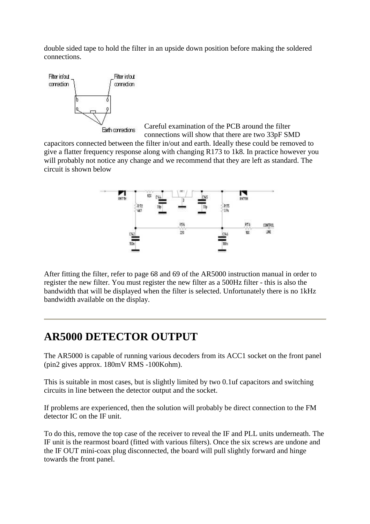double sided tape to hold the filter in an upside down position before making the soldered connections.



Careful examination of the PCB around the filter Earth corrections

connections will show that there are two 33pF SMD capacitors connected between the filter in/out and earth. Ideally these could be removed to give a flatter frequency response along with changing R173 to 1k8. In practice however you will probably not notice any change and we recommend that they are left as standard. The circuit is shown below



After fitting the filter, refer to page 68 and 69 of the AR5000 instruction manual in order to register the new filter. You must register the new filter as a 500Hz filter - this is also the bandwidth that will be displayed when the filter is selected. Unfortunately there is no 1kHz bandwidth available on the display.

# **AR5000 DETECTOR OUTPUT**

The AR5000 is capable of running various decoders from its ACC1 socket on the front panel (pin2 gives approx. 180mV RMS -100Kohm).

This is suitable in most cases, but is slightly limited by two 0.1uf capacitors and switching circuits in line between the detector output and the socket.

If problems are experienced, then the solution will probably be direct connection to the FM detector IC on the IF unit.

To do this, remove the top case of the receiver to reveal the IF and PLL units underneath. The IF unit is the rearmost board (fitted with various filters). Once the six screws are undone and the IF OUT mini-coax plug disconnected, the board will pull slightly forward and hinge towards the front panel.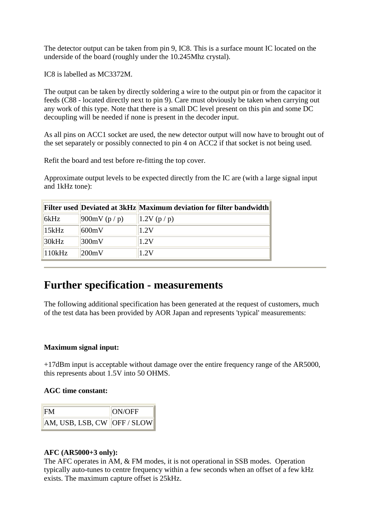The detector output can be taken from pin 9, IC8. This is a surface mount IC located on the underside of the board (roughly under the 10.245Mhz crystal).

IC8 is labelled as MC3372M.

The output can be taken by directly soldering a wire to the output pin or from the capacitor it feeds (C88 - located directly next to pin 9). Care must obviously be taken when carrying out any work of this type. Note that there is a small DC level present on this pin and some DC decoupling will be needed if none is present in the decoder input.

As all pins on ACC1 socket are used, the new detector output will now have to brought out of the set separately or possibly connected to pin 4 on ACC2 if that socket is not being used.

Refit the board and test before re-fitting the top cover.

Approximate output levels to be expected directly from the IC are (with a large signal input and 1kHz tone):

|        |                         | <b>Filter used Deviated at 3kHz Maximum deviation for filter bandwidth</b> |
|--------|-------------------------|----------------------------------------------------------------------------|
| 6kHz   | $900 \text{mV}$ (p / p) | 1.2V(p/p)                                                                  |
| 15kHz  | 600mV                   | 1.2V                                                                       |
| 30kHz  | 300mV                   | 1.2V                                                                       |
| 110kHz | 200mV                   | 1.2V                                                                       |

# **Further specification - measurements**

The following additional specification has been generated at the request of customers, much of the test data has been provided by AOR Japan and represents 'typical' measurements:

### **Maximum signal input:**

+17dBm input is acceptable without damage over the entire frequency range of the AR5000, this represents about 1.5V into 50 OHMS.

#### **AGC time constant:**

|                               | <b>ON/OFF</b> |
|-------------------------------|---------------|
| AM, USB, LSB, CW   OFF / SLOW |               |

### **AFC (AR5000+3 only):**

The AFC operates in AM, & FM modes, it is not operational in SSB modes. Operation typically auto-tunes to centre frequency within a few seconds when an offset of a few kHz exists. The maximum capture offset is 25kHz.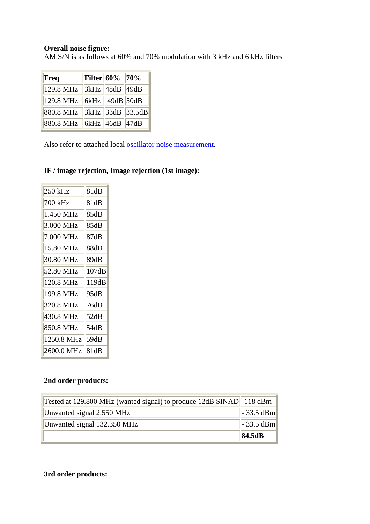## **Overall noise figure:**

AM S/N is as follows at 60% and 70% modulation with 3 kHz and 6 kHz filters

| Freq      |                | <b>Filter 60%</b> 70% |                  |
|-----------|----------------|-----------------------|------------------|
| 129.8 MHz |                | 3kHz   48dB   49dB    |                  |
| 129.8 MHz |                | 6kHz   49dB 50dB      |                  |
| 880.8 MHz |                |                       | 3kHz 33dB 33.5dB |
| 880.8 MHz | 6kHz 46dB 47dB |                       |                  |

Also refer to attached local **oscillator** noise measurement.

## **IF / image rejection, Image rejection (1st image):**

| 250 kHz    | 81dB  |
|------------|-------|
| 700 kHz    | 81dB  |
| 1.450 MHz  | 85dB  |
| 3.000 MHz  | 85dB  |
| 7.000 MHz  | 87dB  |
| 15.80 MHz  | 88dB  |
| 30.80 MHz  | 89dB  |
| 52.80 MHz  | 107dB |
| 120.8 MHz  | 119dB |
| 199.8 MHz  | 95dB  |
| 320.8 MHz  | 76dB  |
| 430.8 MHz  | 52dB  |
| 850.8 MHz  | 54dB  |
| 1250.8 MHz | 59dB  |
| 2600.0 MHz | 81dB  |
|            |       |

## **2nd order products:**

| Tested at 129.800 MHz (wanted signal) to produce 12dB SINAD $\vert$ -118 dBm |                 |
|------------------------------------------------------------------------------|-----------------|
| Unwanted signal 2.550 MHz                                                    | $\sim$ 33.5 dBm |
| Unwanted signal 132.350 MHz                                                  | $\ $ - 33.5 dBm |
|                                                                              | 84.5dB          |

**3rd order products:**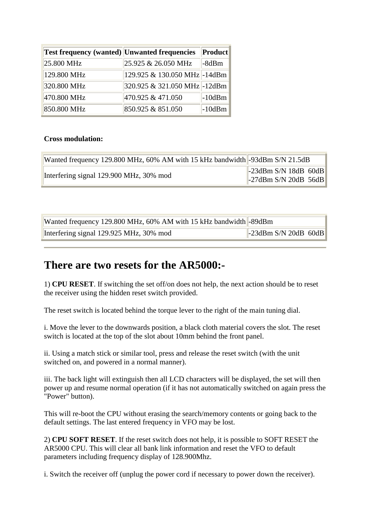| <b>Test frequency (wanted)</b> Unwanted frequencies |                               | Product   |
|-----------------------------------------------------|-------------------------------|-----------|
| 25.800 MHz                                          | 25.925 & 26.050 MHz           | -8dBm     |
| 129.800 MHz                                         | 129.925 & 130.050 MHz  -14dBm |           |
| 320.800 MHz                                         | 320.925 & 321.050 MHz - 12dBm |           |
| 470.800 MHz                                         | 470.925 & 471.050             | $-10$ dBm |
| 850.800 MHz                                         | 850.925 & 851.050             | $-10dBm$  |

#### **Cross modulation:**

| Wanted frequency 129.800 MHz, 60% AM with 15 kHz bandwidth -93dBm S/N 21.5dB |                                                           |  |  |
|------------------------------------------------------------------------------|-----------------------------------------------------------|--|--|
| Interfering signal 129.900 MHz, 30% mod                                      | $\left\ $ -23dBm S/N 18dB 60dB<br>$-27$ dBm S/N 20dB 56dB |  |  |

| Wanted frequency 129.800 MHz, 60% AM with 15 kHz bandwidth -89dBm |                                  |  |
|-------------------------------------------------------------------|----------------------------------|--|
| Interfering signal 129.925 MHz, 30% mod                           | $\parallel$ -23dBm S/N 20dB 60dB |  |

# **There are two resets for the AR5000:-**

1) **CPU RESET**. If switching the set off/on does not help, the next action should be to reset the receiver using the hidden reset switch provided.

The reset switch is located behind the torque lever to the right of the main tuning dial.

i. Move the lever to the downwards position, a black cloth material covers the slot. The reset switch is located at the top of the slot about 10mm behind the front panel.

ii. Using a match stick or similar tool, press and release the reset switch (with the unit switched on, and powered in a normal manner).

iii. The back light will extinguish then all LCD characters will be displayed, the set will then power up and resume normal operation (if it has not automatically switched on again press the "Power" button).

This will re-boot the CPU without erasing the search/memory contents or going back to the default settings. The last entered frequency in VFO may be lost.

2) **CPU SOFT RESET**. If the reset switch does not help, it is possible to SOFT RESET the AR5000 CPU. This will clear all bank link information and reset the VFO to default parameters including frequency display of 128.900Mhz.

i. Switch the receiver off (unplug the power cord if necessary to power down the receiver).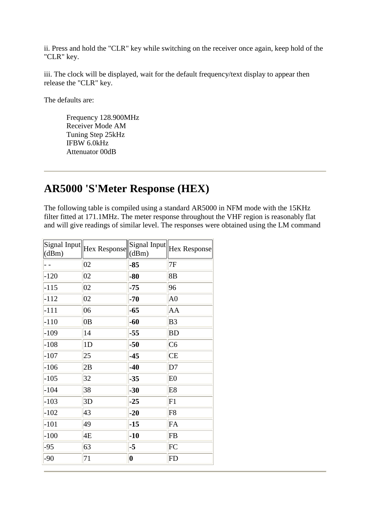ii. Press and hold the "CLR" key while switching on the receiver once again, keep hold of the "CLR" key.

iii. The clock will be displayed, wait for the default frequency/text display to appear then release the "CLR" key.

The defaults are:

Frequency 128.900MHz Receiver Mode AM Tuning Step 25kHz IFBW 6.0kHz Attenuator 00dB

# **AR5000 'S'Meter Response (HEX)**

The following table is compiled using a standard AR5000 in NFM mode with the 15KHz filter fitted at 171.1MHz. The meter response throughout the VHF region is reasonably flat and will give readings of similar level. The responses were obtained using the LM command

| Signal Input<br>(dBm) | Hex Response | Signal Input<br>(dBm) | <b>Hex Response</b> |
|-----------------------|--------------|-----------------------|---------------------|
|                       | 02           | $-85$                 | 7F                  |
| $-120$                | 02           | $-80$                 | 8B                  |
| $-115$                | 02           | $-75$                 | 96                  |
| $-112$                | 02           | $-70$                 | A <sub>0</sub>      |
| $-111$                | 06           | $-65$                 | AA                  |
| $-110$                | 0B           | $-60$                 | B <sub>3</sub>      |
| $-109$                | 14           | $-55$                 | <b>BD</b>           |
| $-108$                | 1D           | $-50$                 | C6                  |
| $-107$                | 25           | $-45$                 | <b>CE</b>           |
| $-106$                | 2B           | $-40$                 | D7                  |
| $-105$                | 32           | $-35$                 | E <sub>0</sub>      |
| $-104$                | 38           | $-30$                 | E <sub>8</sub>      |
| $-103$                | 3D           | $-25$                 | F1                  |
| $-102$                | 43           | $-20$                 | F <sub>8</sub>      |
| $-101$                | 49           | $-15$                 | FA                  |
| $-100$                | 4E           | $-10$                 | FB                  |
| $-95$                 | 63           | $-5$                  | FC                  |
| $-90$                 | 71           | $\boldsymbol{0}$      | $ {\rm FD} $        |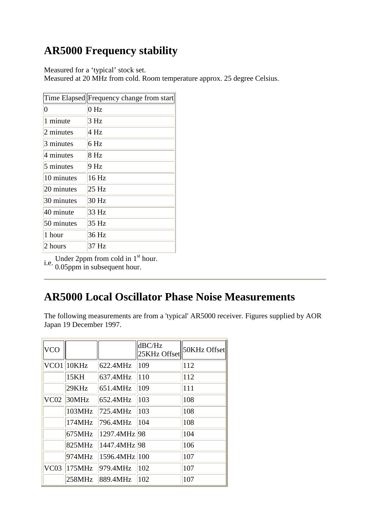# **AR5000 Frequency stability**

Measured for a 'typical' stock set.

Measured at 20 MHz from cold. Room temperature approx. 25 degree Celsius.

|                | Time Elapsed  Frequency change from start |
|----------------|-------------------------------------------|
| $\overline{0}$ | 0 <sub>Hz</sub>                           |
| 1 minute       | 3 Hz                                      |
| 2 minutes      | 4 Hz                                      |
| 3 minutes      | 6 Hz                                      |
| 4 minutes      | 8 Hz                                      |
| 5 minutes      | 9 Hz                                      |
| 10 minutes     | 16 Hz                                     |
| 20 minutes     | 25 Hz                                     |
| 30 minutes     | 30 Hz                                     |
| 40 minute      | 33 Hz                                     |
| 50 minutes     | 35 Hz                                     |
| 1 hour         | 36 Hz                                     |
| 2 hours        | 37 Hz                                     |

i.e. Under 2ppm from cold in 1<sup>st</sup> hour.<br>0.05ppm in subsequent hour.

# **AR5000 Local Oscillator Phase Noise Measurements**

The following measurements are from a 'typical' AR5000 receiver. Figures supplied by AOR Japan 19 December 1997.

| <b>VCO</b>       |        |               | dBC/Hz<br>25KHz Offset | 50KHz Offset |
|------------------|--------|---------------|------------------------|--------------|
| VCO <sub>1</sub> | 10KHz  | 622.4MHz      | 109                    | 112          |
|                  | 15KH   | 637.4MHz      | 110                    | 112          |
|                  | 29KHz  | 651.4MHz      | 109                    | 111          |
| VC <sub>02</sub> | 30MHz  | 652.4MHz      | 103                    | 108          |
|                  | 103MHz | 725.4MHz      | 103                    | 108          |
|                  | 174MHz | 796.4MHz      | 104                    | 108          |
|                  | 675MHz | 1297.4MHz 98  |                        | 104          |
|                  | 825MHz | 1447.4MHz 98  |                        | 106          |
|                  | 974MHz | 1596.4MHz 100 |                        | 107          |
| VC <sub>03</sub> | 175MHz | 979.4MHz      | 102                    | 107          |
|                  | 258MHz | 889.4MHz      | 102                    | 107          |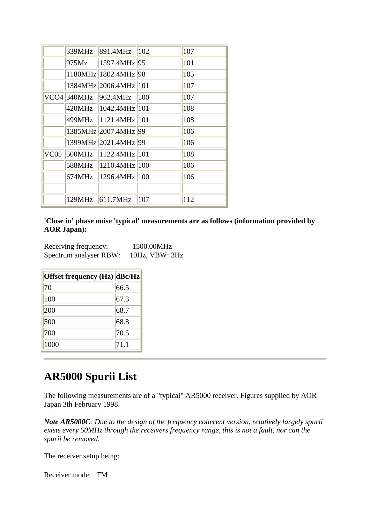|      | 339MHz | 891.4MHz                    | $ 102\rangle$ | 107 |
|------|--------|-----------------------------|---------------|-----|
|      |        | $ 975Mz $ $ 1597.4MHz 95$   |               | 101 |
|      |        | 1180MHz 1802.4MHz 98        |               | 105 |
|      |        | 1384MHz 2006.4MHz 101       |               | 107 |
|      |        | VCO4 340MHz 962.4MHz 100    |               | 107 |
|      |        | 420MHz 1042.4MHz 101        |               | 108 |
|      |        | 499MHz 1121.4MHz 101        |               | 108 |
|      |        | 1385MHz 2007.4MHz 99        |               | 106 |
|      |        | 1399MHz 2021.4MHz 99        |               | 106 |
| VC05 |        | $ 500MHz $ $ 1122.4MHz 101$ |               | 108 |
|      |        | 588MHz 1210.4MHz 100        |               | 106 |
|      | 674MHz | 1296.4MHz 100               |               | 106 |
|      |        |                             |               |     |
|      |        | $129MHz$ 611.7MHz           | 107           | 112 |

**'Close in' phase noise 'typical' measurements are as follows (information provided by AOR Japan):**

| Receiving frequency:   | 1500.00MHz          |
|------------------------|---------------------|
| Spectrum analyser RBW: | $10Hz$ , VBW: $3Hz$ |

| Offset frequency (Hz) dBc/Hz |      |
|------------------------------|------|
| 70                           | 66.5 |
| 100                          | 67.3 |
| 200                          | 68.7 |
| 500                          | 68.8 |
| 700                          | 70.5 |
| 1000                         | 71.1 |

# **AR5000 Spurii List**

The following measurements are of a "typical" AR5000 receiver. Figures supplied by AOR Japan 3th February 1998.

*Note AR5000C: Due to the design of the frequency coherent version, relatively largely spurii exists every 50MHz through the receivers frequency range, this is not a fault, nor can the spurii be removed.*

The receiver setup being:

Receiver mode: FM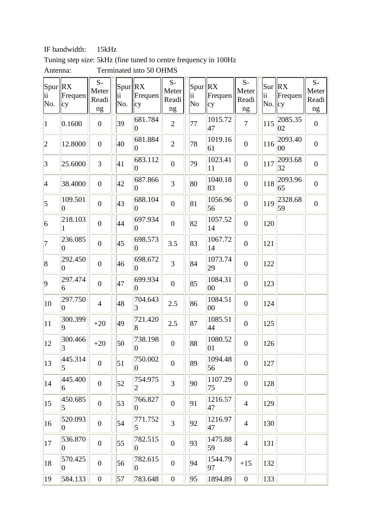IF bandwidth: 15kHz

| Tuning step size: 5kHz (fine tuned to centre frequency in 100Hz) |  |  |  |  |  |
|------------------------------------------------------------------|--|--|--|--|--|
|                                                                  |  |  |  |  |  |

| Spur RX<br>ii<br>No. | Frequen<br>cy             | $S-$<br>Meter<br>Readi<br>ng | Spur   RX<br>ii<br>No. | Frequen<br>cy              | $S-$<br>Meter<br>Readi<br>ng | Spur RX<br>ii Frec<br>N <sub>o</sub> | Frequen<br>cy | $\mathbf{S}\text{-}$<br>Meter<br>Readi<br>$\rm ng$ | ii<br>$\text{No.}$  cy | $\text{Sur}$ $\vert$ RX<br>Frequen | $S-$<br>Meter<br>Readi<br>ng |
|----------------------|---------------------------|------------------------------|------------------------|----------------------------|------------------------------|--------------------------------------|---------------|----------------------------------------------------|------------------------|------------------------------------|------------------------------|
| $\vert$ 1            | 0.1600                    | $\overline{0}$               | 39                     | 681.784<br>$ 0\rangle$     | $\overline{2}$               | 77                                   | 1015.72<br>47 | $\overline{7}$                                     | 115                    | 2085.35<br>02                      | $\boldsymbol{0}$             |
| $ 2\rangle$          | 12.8000                   | $\overline{0}$               | 40                     | 681.884<br>$\vert 0 \vert$ | $\overline{2}$               | 78                                   | 1019.16<br>61 | $\boldsymbol{0}$                                   | 116                    | 2093.40<br>00                      | $\boldsymbol{0}$             |
| 3                    | 25.6000                   | 3                            | 41                     | 683.112<br>0               | $\boldsymbol{0}$             | 79                                   | 1023.41<br>11 | $\boldsymbol{0}$                                   | 117                    | 2093.68<br>32                      | $\boldsymbol{0}$             |
| $\vert 4$            | 38.4000                   | $\overline{0}$               | 42                     | 687.866<br>$ 0\rangle$     | 3                            | 80                                   | 1040.18<br>83 | $\boldsymbol{0}$                                   | 118                    | 2093.96<br>65                      | $\boldsymbol{0}$             |
| $\vert$ 5            | 109.501<br>$\overline{0}$ | $\boldsymbol{0}$             | 43                     | 688.104<br>$\vert 0 \vert$ | $\boldsymbol{0}$             | 81                                   | 1056.96<br>56 | $\boldsymbol{0}$                                   | 119                    | 2328.68<br>59                      | $\overline{0}$               |
| 6                    | 218.103                   | $\overline{0}$               | 44                     | 697.934<br>0               | $\boldsymbol{0}$             | 82                                   | 1057.52<br>14 | $\boldsymbol{0}$                                   | 120                    |                                    |                              |
| $ 7\>$               | 236.085<br>0              | $\overline{0}$               | 45                     | 698.573<br>$ 0\rangle$     | 3.5                          | 83                                   | 1067.72<br>14 | $\boldsymbol{0}$                                   | 121                    |                                    |                              |
| 8                    | 292.450<br>$\overline{0}$ | $\boldsymbol{0}$             | 46                     | 698.672<br>$\vert 0 \vert$ | 3                            | 84                                   | 1073.74<br>29 | $\boldsymbol{0}$                                   | 122                    |                                    |                              |
| $ 9\rangle$          | 297.474<br>6              | $\overline{0}$               | 47                     | 699.934<br>0               | $\boldsymbol{0}$             | 85                                   | 1084.31<br>00 | $\boldsymbol{0}$                                   | 123                    |                                    |                              |
| 10                   | 297.750<br>$\overline{0}$ | $\overline{4}$               | 48                     | 704.643<br>3               | 2.5                          | 86                                   | 1084.51<br>00 | $\boldsymbol{0}$                                   | 124                    |                                    |                              |
| 11                   | 300.399<br>9              | $+20$                        | 49                     | 721.420<br>$\vert 8 \vert$ | 2.5                          | 87                                   | 1085.51<br>44 | $\boldsymbol{0}$                                   | 125                    |                                    |                              |
| 12                   | 300.466<br>3              | $+20$                        | 50                     | 738.198<br>$\vert 0 \vert$ | $\boldsymbol{0}$             | 88                                   | 1080.52<br>01 | $\boldsymbol{0}$                                   | 126                    |                                    |                              |
| 13                   | 445.314<br>5              | $\overline{0}$               | 51                     | 750.002<br>0               | $\boldsymbol{0}$             | 89                                   | 1094.48<br>56 | $\boldsymbol{0}$                                   | 127                    |                                    |                              |
| 14                   | 445.400<br>6              | $\boldsymbol{0}$             | 52                     | 754.975<br>$\overline{2}$  | 3                            | 90                                   | 1107.29<br>75 | $\boldsymbol{0}$                                   | 128                    |                                    |                              |
| $ 15\rangle$         | 450.685<br>5              | $\overline{0}$               | 53                     | 766.827<br>$ 0\rangle$     | $\boldsymbol{0}$             | 91                                   | 1216.57<br>47 | $\overline{4}$                                     | 129                    |                                    |                              |
| 16                   | 520.093<br>$\overline{0}$ | $\overline{0}$               | 54                     | 771.752<br>5               | 3                            | 92                                   | 1216.97<br>47 | $\overline{4}$                                     | 130                    |                                    |                              |
| 17                   | 536.870<br>$\overline{0}$ | $\boldsymbol{0}$             | 55                     | 782.515<br>$ 0\rangle$     | $\boldsymbol{0}$             | 93                                   | 1475.88<br>59 | $\overline{4}$                                     | 131                    |                                    |                              |
| 18                   | 570.425<br>0              | $\overline{0}$               | 56                     | 782.615<br>$ 0\rangle$     | $\boldsymbol{0}$             | 94                                   | 1544.79<br>97 | $+15$                                              | 132                    |                                    |                              |
| $ 19\rangle$         | 584.133                   | $\boldsymbol{0}$             | 57                     | 783.648                    | $\boldsymbol{0}$             | 95                                   | 1894.89       | $\boldsymbol{0}$                                   | 133                    |                                    |                              |

Antenna: Terminated into 50 OHMS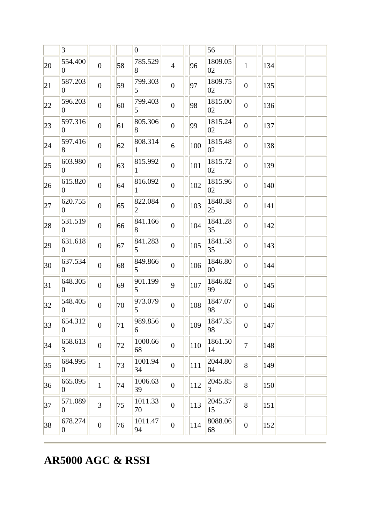# **AR5000 AGC & RSSI**

|              | 3                          |                  |    | $ 0\rangle$                |                  |     | 56                        |                  |     |  |
|--------------|----------------------------|------------------|----|----------------------------|------------------|-----|---------------------------|------------------|-----|--|
| 20           | 554.400<br>$\overline{0}$  | $\overline{0}$   | 58 | 785.529<br>8               | $\overline{4}$   | 96  | 1809.05<br>02             | $\mathbf{1}$     | 134 |  |
| 21           | 587.203<br>$\overline{0}$  | $\overline{0}$   | 59 | 799.303<br>5               | $\overline{0}$   | 97  | 1809.75<br>02             | $\boldsymbol{0}$ | 135 |  |
| 22           | 596.203<br>$\overline{0}$  | $\overline{0}$   | 60 | 799.403<br>5               | $\boldsymbol{0}$ | 98  | 1815.00<br>02             | $\overline{0}$   | 136 |  |
| 23           | 597.316<br>$\overline{0}$  | $\boldsymbol{0}$ | 61 | 805.306<br>8               | $\boldsymbol{0}$ | 99  | 1815.24<br>02             | $\boldsymbol{0}$ | 137 |  |
| 24           | 597.416<br>8               | $\overline{0}$   | 62 | 808.314                    | 6                | 100 | 1815.48<br>02             | $\boldsymbol{0}$ | 138 |  |
| $ 25\rangle$ | 603.980<br>$\overline{0}$  | $\overline{0}$   | 63 | 815.992<br>1               | $\boldsymbol{0}$ | 101 | 1815.72<br>02             | $\boldsymbol{0}$ | 139 |  |
| 26           | 615.820<br>$\overline{0}$  | $\boldsymbol{0}$ | 64 | 816.092                    | $\boldsymbol{0}$ | 102 | 1815.96<br>02             | $\boldsymbol{0}$ | 140 |  |
| 27           | 620.755<br>0               | $\overline{0}$   | 65 | 822.084<br>2               | $\boldsymbol{0}$ | 103 | 1840.38<br> 25            | $\boldsymbol{0}$ | 141 |  |
| 28           | 531.519<br>$\overline{0}$  | $\overline{0}$   | 66 | 841.166<br>8               | $\boldsymbol{0}$ | 104 | 1841.28<br>35             | $\boldsymbol{0}$ | 142 |  |
| 29           | 631.618<br>$\overline{0}$  | $\overline{0}$   | 67 | 841.283<br>$\overline{5}$  | $\boldsymbol{0}$ | 105 | 1841.58<br>35             | $\boldsymbol{0}$ | 143 |  |
| 30           | 637.534<br>$\overline{0}$  | $\overline{0}$   | 68 | 849.866<br>5               | $\boldsymbol{0}$ | 106 | 1846.80<br>00             | $\overline{0}$   | 144 |  |
| 31           | 648.305<br>$\overline{0}$  | $\boldsymbol{0}$ | 69 | 901.199<br>5               | 9                | 107 | 1846.82<br>99             | $\boldsymbol{0}$ | 145 |  |
| 32           | 548.405<br>$\overline{0}$  | $\overline{0}$   | 70 | 973.079<br>$\vert 5 \vert$ | $\overline{0}$   | 108 | 1847.07<br>98             | $\boldsymbol{0}$ | 146 |  |
| 33           | 654.312<br>$\overline{0}$  | $\boldsymbol{0}$ | 71 | 989.856<br>6               | $\boldsymbol{0}$ | 109 | 1847.35<br>98             | $\boldsymbol{0}$ | 147 |  |
| 34           | 658.613<br>3               | $\boldsymbol{0}$ | 72 | 1000.66<br>68              | $\boldsymbol{0}$ | 110 | 1861.50<br>14             | $\overline{7}$   | 148 |  |
| 35           | 684.995<br>$\overline{0}$  | $\mathbf{1}$     | 73 | 1001.94<br>34              | $\boldsymbol{0}$ | 111 | 2044.80<br>04             | 8                | 149 |  |
| 36           | 665.095<br>$\overline{0}$  | $\mathbf{1}$     | 74 | 1006.63<br>39              | $\boldsymbol{0}$ | 112 | 2045.85<br>$\overline{3}$ | 8                | 150 |  |
| 37           | 571.089<br>$\overline{0}$  | $\overline{3}$   | 75 | 1011.33<br>70              | $\boldsymbol{0}$ | 113 | 2045.37<br>15             | 8                | 151 |  |
| 38           | 678.274<br>$\vert 0 \vert$ | $\boldsymbol{0}$ | 76 | 1011.47<br>94              | $\boldsymbol{0}$ | 114 | 8088.06<br>68             | $\boldsymbol{0}$ | 152 |  |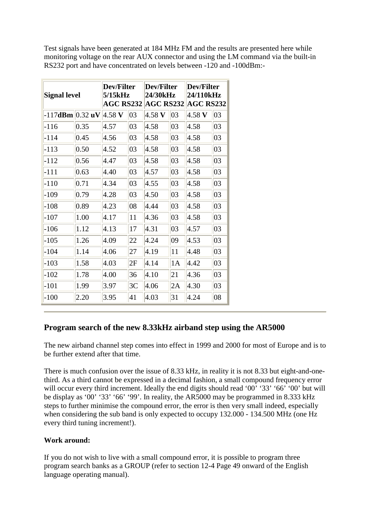Test signals have been generated at 184 MHz FM and the results are presented here while monitoring voltage on the rear AUX connector and using the LM command via the built-in RS232 port and have concentrated on levels between -120 and -100dBm:-

| <b>Signal level</b>                            |      | Dev/Filter<br>5/15kHz<br><b>AGC RS232</b> |                | Dev/Filter<br>24/30kHz<br>$AGC$ RS232 |    | Dev/Filter<br>24/110kHz<br><b>AGC RS232</b> |    |  |
|------------------------------------------------|------|-------------------------------------------|----------------|---------------------------------------|----|---------------------------------------------|----|--|
| $-117$ dBm $  0.32 \text{ uV}  4.58 \text{ V}$ |      |                                           | 03             | $4.58$ V                              | 03 | $4.58$ V                                    | 03 |  |
| $-116$                                         | 0.35 | 4.57                                      | 03             | 4.58                                  | 03 | 4.58                                        | 03 |  |
| -114                                           | 0.45 | 4.56                                      | 03             | 4.58                                  | 03 | 4.58                                        | 03 |  |
| $-113$                                         | 0.50 | 4.52                                      | 03             | 4.58                                  | 03 | 4.58                                        | 03 |  |
| $-112$                                         | 0.56 | 4.47                                      | 03             | 4.58                                  | 03 | 4.58                                        | 03 |  |
| $-111$                                         | 0.63 | 4.40                                      | 03             | 4.57                                  | 03 | 4.58                                        | 03 |  |
| -110                                           | 0.71 | 4.34                                      | 03             | 4.55                                  | 03 | 4.58                                        | 03 |  |
| $-109$                                         | 0.79 | 4.28                                      | 03             | 4.50                                  | 03 | 4.58                                        | 03 |  |
| $-108$                                         | 0.89 | 4.23                                      | 08             | 4.44                                  | 03 | 4.58                                        | 03 |  |
| $-107$                                         | 1.00 | 4.17                                      | 11             | 4.36                                  | 03 | 4.58                                        | 03 |  |
| $-106$                                         | 1.12 | 4.13                                      | 17             | 4.31                                  | 03 | 4.57                                        | 03 |  |
| -105                                           | 1.26 | 4.09                                      | 22             | 4.24                                  | 09 | 4.53                                        | 03 |  |
| -104                                           | 1.14 | 4.06                                      | 27             | 4.19                                  | 11 | 4.48                                        | 03 |  |
| -103                                           | 1.58 | 4.03                                      | 2F             | 4.14                                  | 1А | 4.42                                        | 03 |  |
| -102                                           | 1.78 | 4.00                                      | 36             | 4.10                                  | 21 | 4.36                                        | 03 |  |
| -101                                           | 1.99 | 3.97                                      | 3 <sub>C</sub> | 4.06                                  | 2Α | 4.30                                        | 03 |  |
| $-100$                                         | 2.20 | 3.95                                      | 41             | 4.03                                  | 31 | 4.24                                        | 08 |  |

# **Program search of the new 8.33kHz airband step using the AR5000**

The new airband channel step comes into effect in 1999 and 2000 for most of Europe and is to be further extend after that time.

There is much confusion over the issue of 8.33 kHz, in reality it is not 8.33 but eight-and-onethird. As a third cannot be expressed in a decimal fashion, a small compound frequency error will occur every third increment. Ideally the end digits should read ' $00^7$ ' '33' '66' '00' but will be display as '00' '33' '66' '99'. In reality, the AR5000 may be programmed in 8.333 kHz steps to further minimise the compound error, the error is then very small indeed, especially when considering the sub band is only expected to occupy 132.000 - 134.500 MHz (one Hz every third tuning increment!).

### **Work around:**

If you do not wish to live with a small compound error, it is possible to program three program search banks as a GROUP (refer to section 12-4 Page 49 onward of the English language operating manual).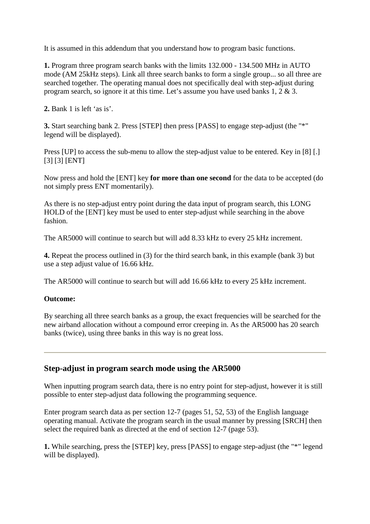It is assumed in this addendum that you understand how to program basic functions.

**1.** Program three program search banks with the limits 132.000 - 134.500 MHz in AUTO mode (AM 25kHz steps). Link all three search banks to form a single group... so all three are searched together. The operating manual does not specifically deal with step-adjust during program search, so ignore it at this time. Let's assume you have used banks 1, 2 & 3.

**2.** Bank 1 is left 'as is'.

**3.** Start searching bank 2. Press [STEP] then press [PASS] to engage step-adjust (the "\*" legend will be displayed).

Press [UP] to access the sub-menu to allow the step-adjust value to be entered. Key in [8] [.] [3] [3] [ENT]

Now press and hold the [ENT] key **for more than one second** for the data to be accepted (do not simply press ENT momentarily).

As there is no step-adjust entry point during the data input of program search, this LONG HOLD of the [ENT] key must be used to enter step-adjust while searching in the above fashion.

The AR5000 will continue to search but will add 8.33 kHz to every 25 kHz increment.

**4.** Repeat the process outlined in (3) for the third search bank, in this example (bank 3) but use a step adjust value of 16.66 kHz.

The AR5000 will continue to search but will add 16.66 kHz to every 25 kHz increment.

### **Outcome:**

By searching all three search banks as a group, the exact frequencies will be searched for the new airband allocation without a compound error creeping in. As the AR5000 has 20 search banks (twice), using three banks in this way is no great loss.

## **Step-adjust in program search mode using the AR5000**

When inputting program search data, there is no entry point for step-adjust, however it is still possible to enter step-adjust data following the programming sequence.

Enter program search data as per section 12-7 (pages 51, 52, 53) of the English language operating manual. Activate the program search in the usual manner by pressing [SRCH] then select the required bank as directed at the end of section 12-7 (page 53).

**1.** While searching, press the [STEP] key, press [PASS] to engage step-adjust (the "\*" legend will be displayed).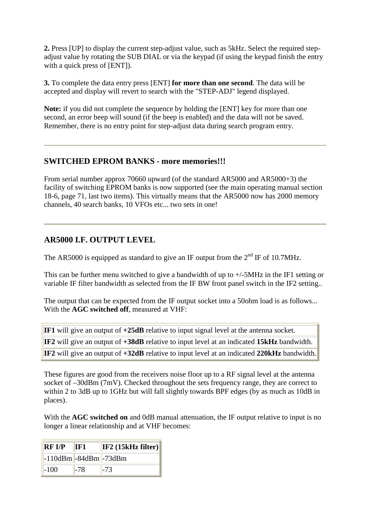**2.** Press [UP] to display the current step-adjust value, such as 5kHz. Select the required stepadjust value by rotating the SUB DIAL or via the keypad (if using the keypad finish the entry with a quick press of [ENT]).

**3.** To complete the data entry press [ENT] **for more than one second**. The data will be accepted and display will revert to search with the "STEP-ADJ" legend displayed.

**Note:** if you did not complete the sequence by holding the [ENT] key for more than one second, an error beep will sound (if the beep is enabled) and the data will not be saved. Remember, there is no entry point for step-adjust data during search program entry.

### **SWITCHED EPROM BANKS - more memories!!!**

From serial number approx 70660 upward (of the standard AR5000 and AR5000+3) the facility of switching EPROM banks is now supported (see the main operating manual section 18-6, page 71, last two items). This virtually means that the AR5000 now has 2000 memory channels, 40 search banks, 10 VFOs etc... two sets in one!

## **AR5000 I.F. OUTPUT LEVEL**

The AR5000 is equipped as standard to give an IF output from the  $2<sup>nd</sup>$  IF of 10.7MHz.

This can be further menu switched to give a bandwidth of up to +/-5MHz in the IF1 setting or variable IF filter bandwidth as selected from the IF BW front panel switch in the IF2 setting..

The output that can be expected from the IF output socket into a 50ohm load is as follows... With the **AGC switched off**, measured at VHF:

|  |  |  |  | <b>IF1</b> will give an output of +25dB relative to input signal level at the antenna socket.    |  |  |  |  |
|--|--|--|--|--------------------------------------------------------------------------------------------------|--|--|--|--|
|  |  |  |  | <b>IF2</b> will give an output of +38dB relative to input level at an indicated 15kHz bandwidth. |  |  |  |  |
|  |  |  |  | IF2 will give an output of +32dB relative to input level at an indicated 220kHz bandwidth.       |  |  |  |  |

These figures are good from the receivers noise floor up to a RF signal level at the antenna socket of –30dBm (7mV). Checked throughout the sets frequency range, they are correct to within 2 to 3dB up to 1GHz but will fall slightly towards BPF edges (by as much as 10dB in places).

With the **AGC switched on** and 0dB manual attenuation, the IF output relative to input is no longer a linear relationship and at VHF becomes:

| <b>RF I/P</b>               | IF1   | IF2 (15kHz filter) |
|-----------------------------|-------|--------------------|
| $-110dBm$ $-84dBm$ $-73dBm$ |       |                    |
| $-100$                      | $-78$ | -73                |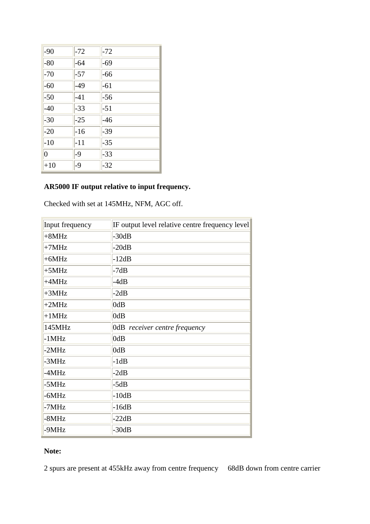| $-90$          | $-72$ | $-72$ |
|----------------|-------|-------|
| $-80$          | $-64$ | $-69$ |
| $-70$          | $-57$ | $-66$ |
| $-60$          | $-49$ | $-61$ |
| $-50$          | $-41$ | $-56$ |
| $-40$          | $-33$ | $-51$ |
| $-30$          | $-25$ | $-46$ |
| $-20$          | $-16$ | $-39$ |
| $-10$          | $-11$ | $-35$ |
| $\overline{0}$ | $-9$  | $-33$ |
| $+10$          | $-9$  | $-32$ |

## **AR5000 IF output relative to input frequency.**

Checked with set at 145MHz, NFM, AGC off.

| Input frequency | IF output level relative centre frequency level |
|-----------------|-------------------------------------------------|
| $+8MHz$         | $-30dB$                                         |
| $+7MHz$         | $-20dB$                                         |
| $+6MHz$         | $-12dB$                                         |
| $+5MHz$         | $-7dB$                                          |
| $+4MHz$         | $-4dB$                                          |
| $+3MHz$         | $-2dB$                                          |
| $+2MHz$         | 0dB                                             |
| $+1MHz$         | 0dB                                             |
| 145MHz          | OdB receiver centre frequency                   |
| $-1MHz$         | 0dB                                             |
| $-2MHz$         | 0dB                                             |
| -3MHz           | $-1dB$                                          |
| -4MHz           | $-2dB$                                          |
| -5MHz           | $-5dB$                                          |
| -6MHz           | $-10dB$                                         |
| -7MHz           | $-16dB$                                         |
| -8MHz           | $-22dB$                                         |
| -9MHz           | $-30dB$                                         |

# **Note:**

2 spurs are present at 455kHz away from centre frequency 68dB down from centre carrier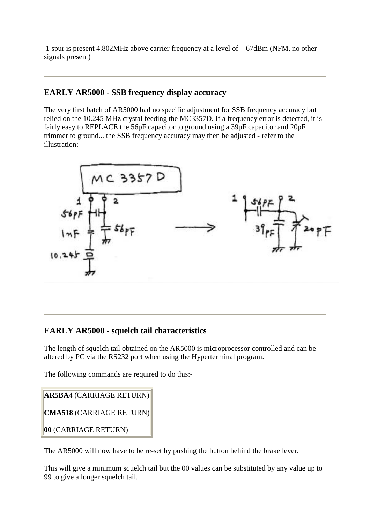1 spur is present 4.802MHz above carrier frequency at a level of 67dBm (NFM, no other signals present)

## **EARLY AR5000 - SSB frequency display accuracy**

The very first batch of AR5000 had no specific adjustment for SSB frequency accuracy but relied on the 10.245 MHz crystal feeding the MC3357D. If a frequency error is detected, it is fairly easy to REPLACE the 56pF capacitor to ground using a 39pF capacitor and 20pF trimmer to ground... the SSB frequency accuracy may then be adjusted - refer to the illustration:



# **EARLY AR5000 - squelch tail characteristics**

The length of squelch tail obtained on the AR5000 is microprocessor controlled and can be altered by PC via the RS232 port when using the Hyperterminal program.

The following commands are required to do this:-

```
AR5BA4 (CARRIAGE RETURN) 
CMA518 (CARRIAGE RETURN) 
00 (CARRIAGE RETURN)
```
The AR5000 will now have to be re-set by pushing the button behind the brake lever.

This will give a minimum squelch tail but the 00 values can be substituted by any value up to 99 to give a longer squelch tail.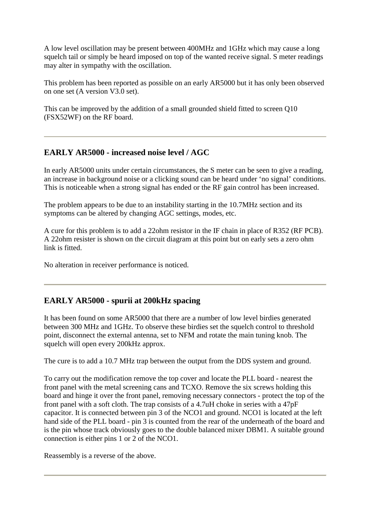A low level oscillation may be present between 400MHz and 1GHz which may cause a long squelch tail or simply be heard imposed on top of the wanted receive signal. S meter readings may alter in sympathy with the oscillation.

This problem has been reported as possible on an early AR5000 but it has only been observed on one set (A version V3.0 set).

This can be improved by the addition of a small grounded shield fitted to screen Q10 (FSX52WF) on the RF board.

# **EARLY AR5000 - increased noise level / AGC**

In early AR5000 units under certain circumstances, the S meter can be seen to give a reading, an increase in background noise or a clicking sound can be heard under 'no signal' conditions. This is noticeable when a strong signal has ended or the RF gain control has been increased.

The problem appears to be due to an instability starting in the 10.7MHz section and its symptoms can be altered by changing AGC settings, modes, etc.

A cure for this problem is to add a 22ohm resistor in the IF chain in place of R352 (RF PCB). A 22ohm resister is shown on the circuit diagram at this point but on early sets a zero ohm link is fitted.

No alteration in receiver performance is noticed.

# **EARLY AR5000 - spurii at 200kHz spacing**

It has been found on some AR5000 that there are a number of low level birdies generated between 300 MHz and 1GHz. To observe these birdies set the squelch control to threshold point, disconnect the external antenna, set to NFM and rotate the main tuning knob. The squelch will open every 200kHz approx.

The cure is to add a 10.7 MHz trap between the output from the DDS system and ground.

To carry out the modification remove the top cover and locate the PLL board - nearest the front panel with the metal screening cans and TCXO. Remove the six screws holding this board and hinge it over the front panel, removing necessary connectors - protect the top of the front panel with a soft cloth. The trap consists of a 4.7uH choke in series with a 47pF capacitor. It is connected between pin 3 of the NCO1 and ground. NCO1 is located at the left hand side of the PLL board - pin 3 is counted from the rear of the underneath of the board and is the pin whose track obviously goes to the double balanced mixer DBM1. A suitable ground connection is either pins 1 or 2 of the NCO1.

Reassembly is a reverse of the above.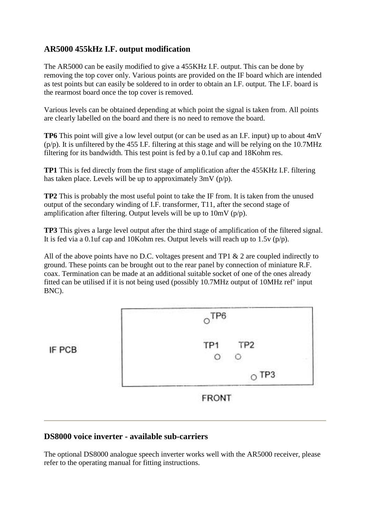# **AR5000 455kHz I.F. output modification**

The AR5000 can be easily modified to give a 455KHz I.F. output. This can be done by removing the top cover only. Various points are provided on the IF board which are intended as test points but can easily be soldered to in order to obtain an I.F. output. The I.F. board is the rearmost board once the top cover is removed.

Various levels can be obtained depending at which point the signal is taken from. All points are clearly labelled on the board and there is no need to remove the board.

**TP6** This point will give a low level output (or can be used as an I.F. input) up to about 4mV (p/p). It is unfiltered by the 455 I.F. filtering at this stage and will be relying on the 10.7MHz filtering for its bandwidth. This test point is fed by a 0.1uf cap and 18Kohm res.

**TP1** This is fed directly from the first stage of amplification after the 455KHz I.F. filtering has taken place. Levels will be up to approximately 3mV (p/p).

**TP2** This is probably the most useful point to take the IF from. It is taken from the unused output of the secondary winding of I.F. transformer, T11, after the second stage of amplification after filtering. Output levels will be up to  $10mV (p/p)$ .

**TP3** This gives a large level output after the third stage of amplification of the filtered signal. It is fed via a 0.1uf cap and 10Kohm res. Output levels will reach up to 1.5v (p/p).

All of the above points have no D.C. voltages present and TP1 & 2 are coupled indirectly to ground. These points can be brought out to the rear panel by connection of miniature R.F. coax. Termination can be made at an additional suitable socket of one of the ones already fitted can be utilised if it is not being used (possibly 10.7MHz output of 10MHz ref' input BNC).



### **DS8000 voice inverter - available sub-carriers**

The optional DS8000 analogue speech inverter works well with the AR5000 receiver, please refer to the operating manual for fitting instructions.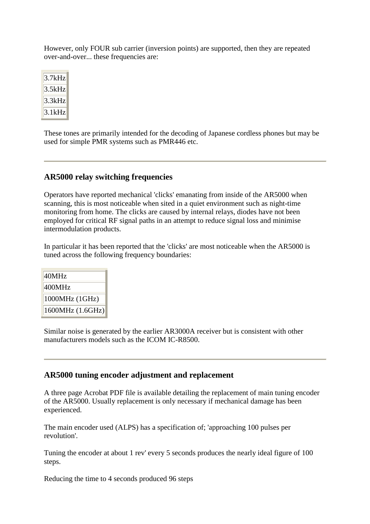However, only FOUR sub carrier (inversion points) are supported, then they are repeated over-and-over... these frequencies are:

 $3.7kHz$  $3.5kHz$  $3.3kHz$  $3.1kHz$ 

These tones are primarily intended for the decoding of Japanese cordless phones but may be used for simple PMR systems such as PMR446 etc.

## **AR5000 relay switching frequencies**

Operators have reported mechanical 'clicks' emanating from inside of the AR5000 when scanning, this is most noticeable when sited in a quiet environment such as night-time monitoring from home. The clicks are caused by internal relays, diodes have not been employed for critical RF signal paths in an attempt to reduce signal loss and minimise intermodulation products.

In particular it has been reported that the 'clicks' are most noticeable when the AR5000 is tuned across the following frequency boundaries:

| 40MHz            |
|------------------|
| 400MHz           |
| $1000MHz$ (1GHz) |
| 1600MHz (1.6GHz) |

Similar noise is generated by the earlier AR3000A receiver but is consistent with other manufacturers models such as the ICOM IC-R8500.

## **AR5000 tuning encoder adjustment and replacement**

A three page Acrobat PDF file is available detailing the replacement of main tuning encoder of the AR5000. Usually replacement is only necessary if mechanical damage has been experienced.

The main encoder used (ALPS) has a specification of; 'approaching 100 pulses per revolution'.

Tuning the encoder at about 1 rev' every 5 seconds produces the nearly ideal figure of 100 steps.

Reducing the time to 4 seconds produced 96 steps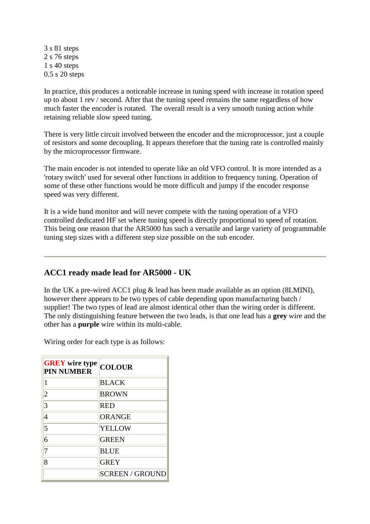3 s 81 steps 2 s 76 steps 1 s 40 steps 0.5 s 20 steps

In practice, this produces a noticeable increase in tuning speed with increase in rotation speed up to about 1 rev / second. After that the tuning speed remains the same regardless of how much faster the encoder is rotated. The overall result is a very smooth tuning action while retaining reliable slow speed tuning.

There is very little circuit involved between the encoder and the microprocessor, just a couple of resistors and some decoupling. It appears therefore that the tuning rate is controlled mainly by the microprocessor firmware.

The main encoder is not intended to operate like an old VFO control. It is more intended as a 'rotary switch' used for several other functions in addition to frequency tuning. Operation of some of these other functions would be more difficult and jumpy if the encoder response speed was very different.

It is a wide band monitor and will never compete with the tuning operation of a VFO controlled dedicated HF set where tuning speed is directly proportional to speed of rotation. This being one reason that the AR5000 has such a versatile and large variety of programmable tuning step sizes with a different step size possible on the sub encoder.

## **ACC1 ready made lead for AR5000 - UK**

In the UK a pre-wired ACC1 plug & lead has been made available as an option (8LMINI), however there appears to be two types of cable depending upon manufacturing batch / supplier! The two types of lead are almost identical other than the wiring order is different. The only distinguishing feature between the two leads, is that one lead has a **grey** wire and the other has a **purple** wire within its multi-cable.

Wiring order for each type is as follows:

| <b>GREY</b> wire type<br><b>PIN NUMBER</b> | <b>COLOUR</b>          |
|--------------------------------------------|------------------------|
| 1                                          | <b>BLACK</b>           |
| $\overline{2}$                             | <b>BROWN</b>           |
| 3                                          | <b>RED</b>             |
| 4                                          | <b>ORANGE</b>          |
| 5                                          | <b>YELLOW</b>          |
| 6                                          | <b>GREEN</b>           |
| 7                                          | <b>BLUE</b>            |
| 8                                          | <b>GREY</b>            |
|                                            | <b>SCREEN / GROUND</b> |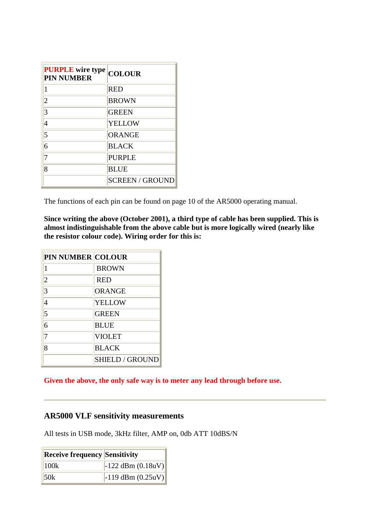| <b>PURPLE</b> wire type<br><b>PIN NUMBER</b> | <b>COLOUR</b>          |
|----------------------------------------------|------------------------|
| 1                                            | <b>RED</b>             |
| $\overline{2}$                               | <b>BROWN</b>           |
| 3                                            | <b>GREEN</b>           |
| 4                                            | <b>YELLOW</b>          |
| 5                                            | <b>ORANGE</b>          |
| 6                                            | <b>BLACK</b>           |
| 7                                            | <b>PURPLE</b>          |
| 8                                            | <b>BLUE</b>            |
|                                              | <b>SCREEN / GROUND</b> |

The functions of each pin can be found on page 10 of the AR5000 operating manual.

**Since writing the above (October 2001), a third type of cable has been supplied. This is almost indistinguishable from the above cable but is more logically wired (nearly like the resistor colour code). Wiring order for this is:**

| <b>PIN NUMBER COLOUR</b> |                      |
|--------------------------|----------------------|
| 1                        | <b>BROWN</b>         |
| $\overline{2}$           | <b>RED</b>           |
| 3                        | <b>ORANGE</b>        |
| 4                        | <b>YELLOW</b>        |
| 5                        | <b>GREEN</b>         |
| 6                        | <b>BLUE</b>          |
| 7                        | <b>VIOLET</b>        |
| 8                        | <b>BLACK</b>         |
|                          | <b>SHIELD/GROUND</b> |

**Given the above, the only safe way is to meter any lead through before use.**

### **AR5000 VLF sensitivity measurements**

All tests in USB mode, 3kHz filter, AMP on, 0db ATT 10dBS/N

| <b>Receive frequency Sensitivity</b> |                       |
|--------------------------------------|-----------------------|
| 100k                                 | $-122$ dBm $(0.18uV)$ |
| 50k                                  | $-119$ dBm $(0.25uV)$ |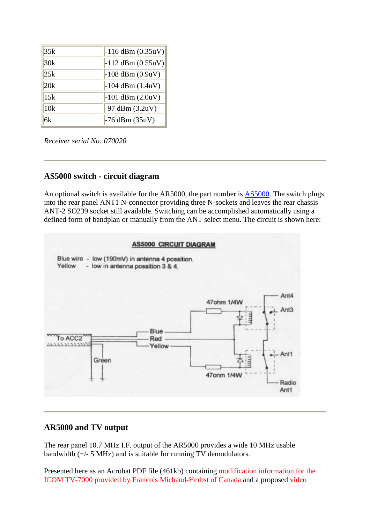| 35k | $-116$ dBm $(0.35uV)$ |
|-----|-----------------------|
| 30k | $-112$ dBm $(0.55uV)$ |
| 25k | $-108$ dBm $(0.9uV)$  |
| 20k | $-104$ dBm $(1.4uV)$  |
| 15k | $-101$ dBm $(2.0uV)$  |
| 10k | $-97$ dBm $(3.2uV)$   |
| 6k  | $-76$ dBm $(35uV)$    |

*Receiver serial No: 070020*

## **AS5000 switch - circuit diagram**

An optional switch is available for the AR5000, the part number is AS5000. The switch plugs into the rear panel ANT1 N-connector providing three N-sockets and leaves the rear chassis ANT-2 SO239 socket still available. Switching can be accomplished automatically using a defined form of bandplan or manually from the ANT select menu. The circuit is shown here:



# **AR5000 and TV output**

The rear panel 10.7 MHz I.F. output of the AR5000 provides a wide 10 MHz usable bandwidth (+/- 5 MHz) and is suitable for running TV demodulators.

Presented here as an Acrobat PDF file (461kb) containing modification information for the ICOM TV-7000 provided by Francois Michaud-Herbst of Canada and a proposed video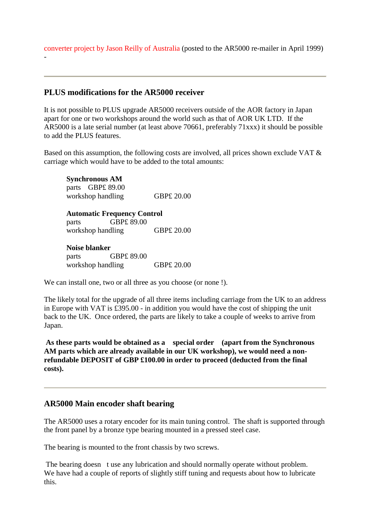converter project by Jason Reilly of Australia (posted to the AR5000 re-mailer in April 1999)

## **PLUS modifications for the AR5000 receiver**

It is not possible to PLUS upgrade AR5000 receivers outside of the AOR factory in Japan apart for one or two workshops around the world such as that of AOR UK LTD. If the AR5000 is a late serial number (at least above 70661, preferably 71xxx) it should be possible to add the PLUS features.

Based on this assumption, the following costs are involved, all prices shown exclude VAT & carriage which would have to be added to the total amounts:

**Synchronous AM**  parts GBP£ 89.00 workshop handling GBP£ 20.00

**Automatic Frequency Control**

parts GBP£ 89.00 workshop handling GBP£ 20.00

#### **Noise blanker**

-

parts GBP£ 89.00 workshop handling GBP£ 20.00

We can install one, two or all three as you choose (or none !).

The likely total for the upgrade of all three items including carriage from the UK to an address in Europe with VAT is £395.00 - in addition you would have the cost of shipping the unit back to the UK. Once ordered, the parts are likely to take a couple of weeks to arrive from Japan.

**As these parts would be obtained as a special order (apart from the Synchronous AM parts which are already available in our UK workshop), we would need a nonrefundable DEPOSIT of GBP £100.00 in order to proceed (deducted from the final costs).** 

## **AR5000 Main encoder shaft bearing**

The AR5000 uses a rotary encoder for its main tuning control. The shaft is supported through the front panel by a bronze type bearing mounted in a pressed steel case.

The bearing is mounted to the front chassis by two screws.

The bearing doesn t use any lubrication and should normally operate without problem. We have had a couple of reports of slightly stiff tuning and requests about how to lubricate this.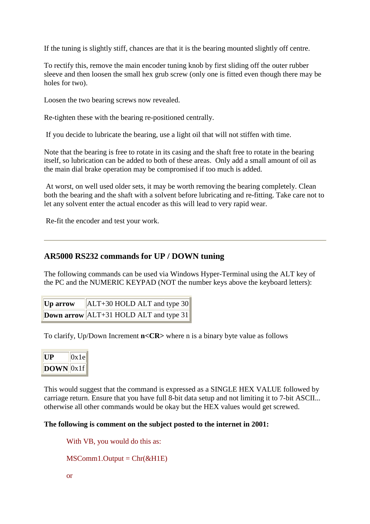If the tuning is slightly stiff, chances are that it is the bearing mounted slightly off centre.

To rectify this, remove the main encoder tuning knob by first sliding off the outer rubber sleeve and then loosen the small hex grub screw (only one is fitted even though there may be holes for two).

Loosen the two bearing screws now revealed.

Re-tighten these with the bearing re-positioned centrally.

If you decide to lubricate the bearing, use a light oil that will not stiffen with time.

Note that the bearing is free to rotate in its casing and the shaft free to rotate in the bearing itself, so lubrication can be added to both of these areas. Only add a small amount of oil as the main dial brake operation may be compromised if too much is added.

 At worst, on well used older sets, it may be worth removing the bearing completely. Clean both the bearing and the shaft with a solvent before lubricating and re-fitting. Take care not to let any solvent enter the actual encoder as this will lead to very rapid wear.

Re-fit the encoder and test your work.

### **AR5000 RS232 commands for UP / DOWN tuning**

The following commands can be used via Windows Hyper-Terminal using the ALT key of the PC and the NUMERIC KEYPAD (NOT the number keys above the keyboard letters):

| Up arrow | $ ALT+30$ HOLD ALT and type 30                   |
|----------|--------------------------------------------------|
|          | <b>Down arrow</b> $ ALT+31$ HOLD ALT and type 31 |

To clarify, Up/Down Increment **n<CR>** where n is a binary byte value as follows



This would suggest that the command is expressed as a SINGLE HEX VALUE followed by carriage return. Ensure that you have full 8-bit data setup and not limiting it to 7-bit ASCII... otherwise all other commands would be okay but the HEX values would get screwed.

#### **The following is comment on the subject posted to the internet in 2001:**

With VB, you would do this as:

 $MSComm1. Output = Chr( $\&H1E$ )$ 

or